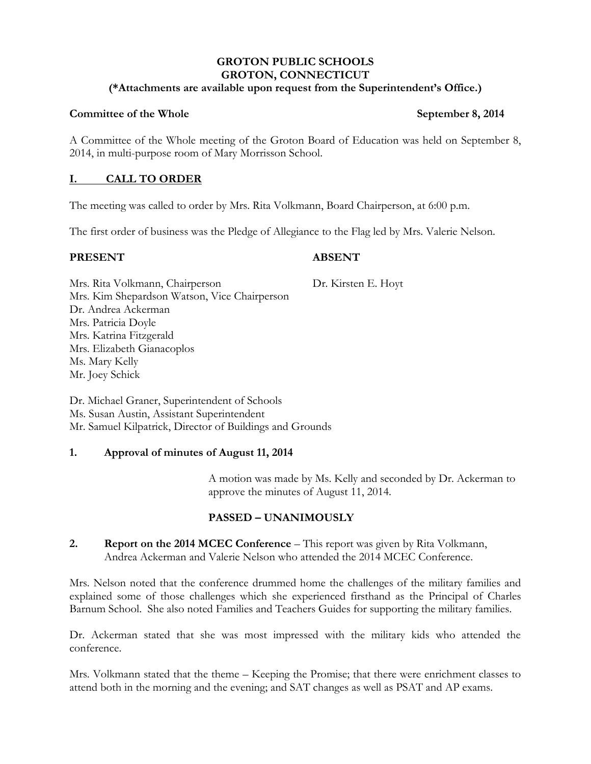## **GROTON PUBLIC SCHOOLS GROTON, CONNECTICUT**

## **(\*Attachments are available upon request from the Superintendent's Office.)**

## **Committee of the Whole September 8, 2014**

A Committee of the Whole meeting of the Groton Board of Education was held on September 8, 2014, in multi-purpose room of Mary Morrisson School.

## **I. CALL TO ORDER**

The meeting was called to order by Mrs. Rita Volkmann, Board Chairperson, at 6:00 p.m.

The first order of business was the Pledge of Allegiance to the Flag led by Mrs. Valerie Nelson.

## **PRESENT ABSENT**

Mrs. Rita Volkmann, Chairperson Dr. Kirsten E. Hoyt Mrs. Kim Shepardson Watson, Vice Chairperson Dr. Andrea Ackerman Mrs. Patricia Doyle Mrs. Katrina Fitzgerald Mrs. Elizabeth Gianacoplos Ms. Mary Kelly Mr. Joey Schick

Dr. Michael Graner, Superintendent of Schools Ms. Susan Austin, Assistant Superintendent Mr. Samuel Kilpatrick, Director of Buildings and Grounds

## **1. Approval of minutes of August 11, 2014**

A motion was made by Ms. Kelly and seconded by Dr. Ackerman to approve the minutes of August 11, 2014.

# **PASSED – UNANIMOUSLY**

## **2. Report on the 2014 MCEC Conference** – This report was given by Rita Volkmann, Andrea Ackerman and Valerie Nelson who attended the 2014 MCEC Conference.

Mrs. Nelson noted that the conference drummed home the challenges of the military families and explained some of those challenges which she experienced firsthand as the Principal of Charles Barnum School. She also noted Families and Teachers Guides for supporting the military families.

Dr. Ackerman stated that she was most impressed with the military kids who attended the conference.

Mrs. Volkmann stated that the theme – Keeping the Promise; that there were enrichment classes to attend both in the morning and the evening; and SAT changes as well as PSAT and AP exams.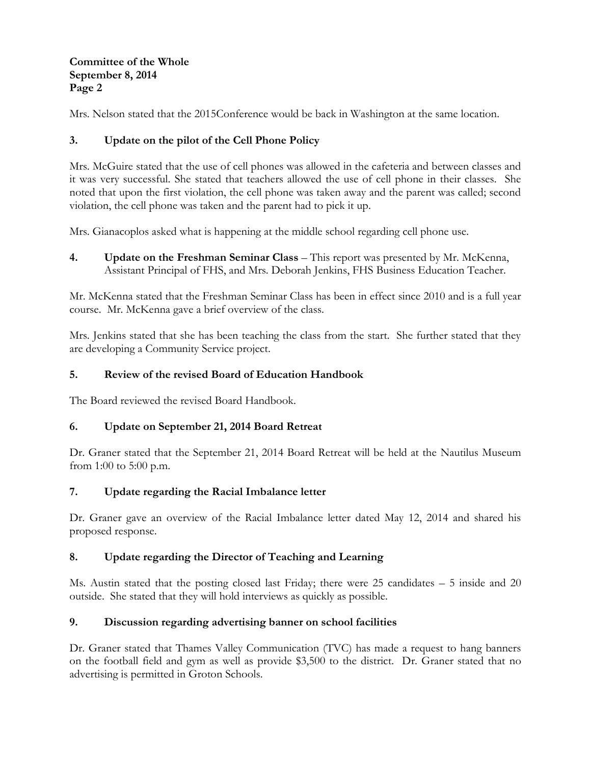## **Committee of the Whole September 8, 2014 Page 2**

Mrs. Nelson stated that the 2015Conference would be back in Washington at the same location.

# **3. Update on the pilot of the Cell Phone Policy**

Mrs. McGuire stated that the use of cell phones was allowed in the cafeteria and between classes and it was very successful. She stated that teachers allowed the use of cell phone in their classes. She noted that upon the first violation, the cell phone was taken away and the parent was called; second violation, the cell phone was taken and the parent had to pick it up.

Mrs. Gianacoplos asked what is happening at the middle school regarding cell phone use.

**4. Update on the Freshman Seminar Class** – This report was presented by Mr. McKenna, Assistant Principal of FHS, and Mrs. Deborah Jenkins, FHS Business Education Teacher.

Mr. McKenna stated that the Freshman Seminar Class has been in effect since 2010 and is a full year course. Mr. McKenna gave a brief overview of the class.

Mrs. Jenkins stated that she has been teaching the class from the start. She further stated that they are developing a Community Service project.

## **5. Review of the revised Board of Education Handbook**

The Board reviewed the revised Board Handbook.

# **6. Update on September 21, 2014 Board Retreat**

Dr. Graner stated that the September 21, 2014 Board Retreat will be held at the Nautilus Museum from 1:00 to 5:00 p.m.

## **7. Update regarding the Racial Imbalance letter**

Dr. Graner gave an overview of the Racial Imbalance letter dated May 12, 2014 and shared his proposed response.

# **8. Update regarding the Director of Teaching and Learning**

Ms. Austin stated that the posting closed last Friday; there were 25 candidates – 5 inside and 20 outside. She stated that they will hold interviews as quickly as possible.

# **9. Discussion regarding advertising banner on school facilities**

Dr. Graner stated that Thames Valley Communication (TVC) has made a request to hang banners on the football field and gym as well as provide \$3,500 to the district. Dr. Graner stated that no advertising is permitted in Groton Schools.